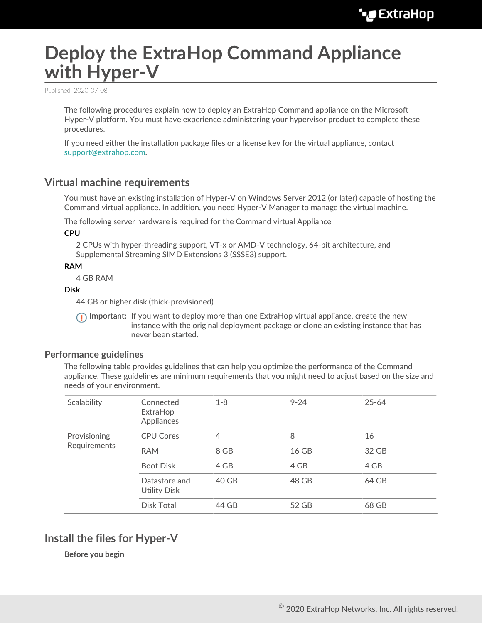# **Deploy the ExtraHop Command Appliance with Hyper-V**

Published: 2020-07-08

The following procedures explain how to deploy an ExtraHop Command appliance on the Microsoft Hyper-V platform. You must have experience administering your hypervisor product to complete these procedures.

If you need either the installation package files or a license key for the virtual appliance, contact [support@extrahop.com.](mailto:support@extrahop.com)

## **Virtual machine requirements**

You must have an existing installation of Hyper-V on Windows Server 2012 (or later) capable of hosting the Command virtual appliance. In addition, you need Hyper-V Manager to manage the virtual machine.

The following server hardware is required for the Command virtual Appliance

**CPU**

2 CPUs with hyper-threading support, VT-x or AMD-V technology, 64-bit architecture, and Supplemental Streaming SIMD Extensions 3 (SSSE3) support.

#### **RAM**

4 GB RAM

#### **Disk**

44 GB or higher disk (thick-provisioned)

**Important:** If you want to deploy more than one ExtraHop virtual appliance, create the new instance with the original deployment package or clone an existing instance that has never been started.

### **Performance guidelines**

The following table provides guidelines that can help you optimize the performance of the Command appliance. These guidelines are minimum requirements that you might need to adjust based on the size and needs of your environment.

| Scalability                  | Connected<br>ExtraHop<br>Appliances  | $1 - 8$ | $9 - 24$ | $25 - 64$ |
|------------------------------|--------------------------------------|---------|----------|-----------|
| Provisioning<br>Requirements | <b>CPU Cores</b>                     | 4       | 8        | 16        |
|                              | <b>RAM</b>                           | 8 GB    | 16 GB    | 32 GB     |
|                              | <b>Boot Disk</b>                     | 4 GB    | 4 GB     | 4 GB      |
|                              | Datastore and<br><b>Utility Disk</b> | 40 GB   | 48 GB    | 64 GB     |
|                              | Disk Total                           | 44 GB   | 52 GB    | 68 GB     |

## **Install the files for Hyper-V**

**Before you begin**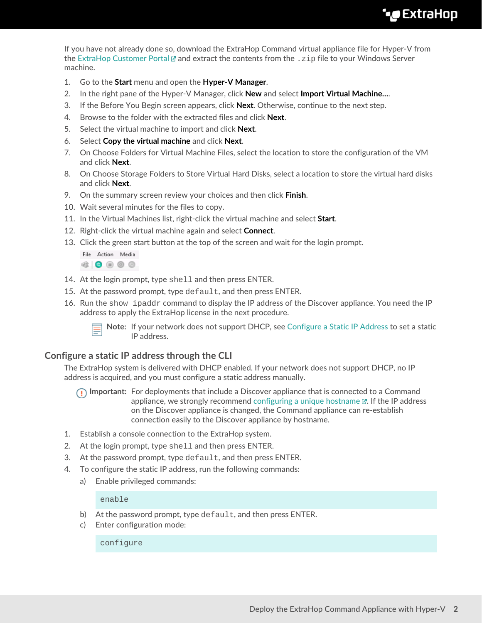If you have not already done so, download the ExtraHop Command virtual appliance file for Hyper-V from the [ExtraHop Customer Portal](https://customers.extrahop.com/downloads/virtual-appliances/)  $\mathbb Z$  and extract the contents from the .  $\mathbb Z$  ip file to your Windows Server machine.

- 1. Go to the **Start** menu and open the **Hyper-V Manager**.
- 2. In the right pane of the Hyper-V Manager, click **New** and select **Import Virtual Machine…**.
- 3. If the Before You Begin screen appears, click **Next**. Otherwise, continue to the next step.
- 4. Browse to the folder with the extracted files and click **Next**.
- 5. Select the virtual machine to import and click **Next**.
- 6. Select **Copy the virtual machine** and click **Next**.
- 7. On Choose Folders for Virtual Machine Files, select the location to store the configuration of the VM and click **Next**.
- 8. On Choose Storage Folders to Store Virtual Hard Disks, select a location to store the virtual hard disks and click **Next**.
- 9. On the summary screen review your choices and then click **Finish**.
- 10. Wait several minutes for the files to copy.
- 11. In the Virtual Machines list, right-click the virtual machine and select **Start**.
- 12. Right-click the virtual machine again and select **Connect**.
- 13. Click the green start button at the top of the screen and wait for the login prompt.

File Action Media  $\begin{array}{c|c|c|c|c} \hline \textbf{r} & \textbf{0} & \textbf{0} & \textbf{0} & \textbf{0} \end{array}$ 

- 14. At the login prompt, type shell and then press ENTER.
- 15. At the password prompt, type default, and then press ENTER.
- 16. Run the show ipaddr command to display the IP address of the Discover appliance. You need the IP address to apply the ExtraHop license in the next procedure.



**Note:** If your network does not support DHCP, see [Configure a Static IP Address](#page-1-0) to set a static IP address.

## <span id="page-1-0"></span>**Configure a static IP address through the CLI**

The ExtraHop system is delivered with DHCP enabled. If your network does not support DHCP, no IP address is acquired, and you must configure a static address manually.

**Important:** For deployments that include a Discover appliance that is connected to a Command appliance, we strongly recommend [configuring a unique hostname](https://docs.extrahop.com/8.1/eta-admin-ui-guide/#connectivity)  $\mathbb{Z}$ . If the IP address on the Discover appliance is changed, the Command appliance can re-establish connection easily to the Discover appliance by hostname.

- 1. Establish a console connection to the ExtraHop system.
- 2. At the login prompt, type shell and then press ENTER.
- 3. At the password prompt, type default, and then press ENTER.
- 4. To configure the static IP address, run the following commands:
	- a) Enable privileged commands:

enable

- b) At the password prompt, type default, and then press ENTER.
- c) Enter configuration mode:

configure